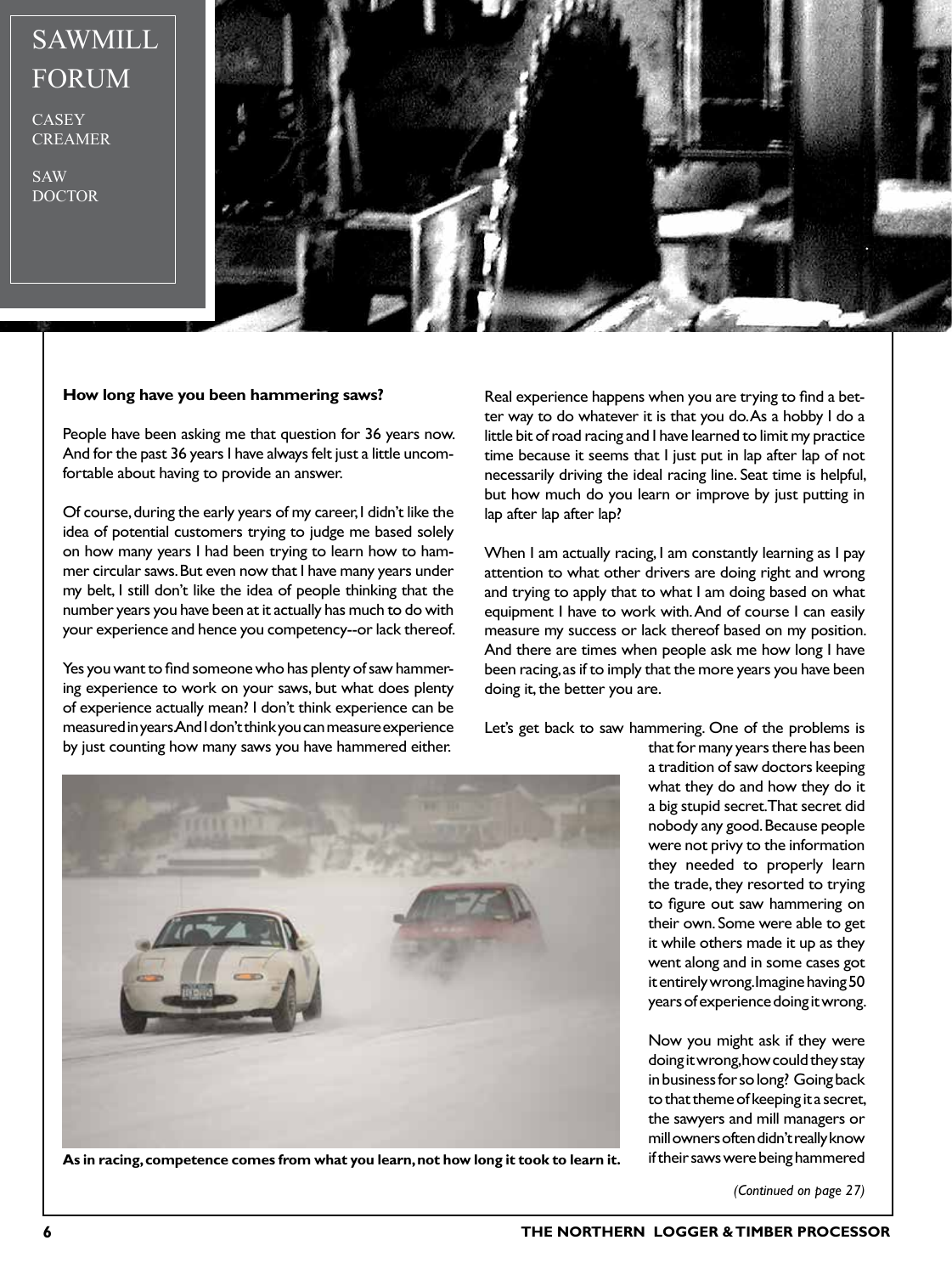## SAWMILL FORUM

**CASEY** CREAMER

SAW DOCTOR



## **How long have you been hammering saws?**

People have been asking me that question for 36 years now. And for the past 36 years I have always felt just a little uncomfortable about having to provide an answer.

Of course, during the early years of my career, I didn't like the idea of potential customers trying to judge me based solely on how many years I had been trying to learn how to hammer circular saws. But even now that I have many years under my belt, I still don't like the idea of people thinking that the number years you have been at it actually has much to do with your experience and hence you competency--or lack thereof.

Yes you want to find someone who has plenty of saw hammering experience to work on your saws, but what does plenty of experience actually mean? I don't think experience can be measured in years. And I don't think you can measure experience by just counting how many saws you have hammered either.

Real experience happens when you are trying to find a better way to do whatever it is that you do. As a hobby I do a little bit of road racing and I have learned to limit my practice time because it seems that I just put in lap after lap of not necessarily driving the ideal racing line. Seat time is helpful, but how much do you learn or improve by just putting in lap after lap after lap?

When I am actually racing, I am constantly learning as I pay attention to what other drivers are doing right and wrong and trying to apply that to what I am doing based on what equipment I have to work with. And of course I can easily measure my success or lack thereof based on my position. And there are times when people ask me how long I have been racing, as if to imply that the more years you have been doing it, the better you are.

Let's get back to saw hammering. One of the problems is



**As in racing, competence comes from what you learn, not how long it took to learn it.**

that for many years there has been a tradition of saw doctors keeping what they do and how they do it a big stupid secret. That secret did nobody any good. Because people were not privy to the information they needed to properly learn the trade, they resorted to trying to figure out saw hammering on their own. Some were able to get it while others made it up as they went along and in some cases got it entirely wrong. Imagine having 50 years of experience doing it wrong.

Now you might ask if they were doing it wrong, how could they stay in business for so long? Going back to that theme of keeping it a secret, the sawyers and mill managers or mill owners often didn't really know if their saws were being hammered

*(Continued on page 27)*